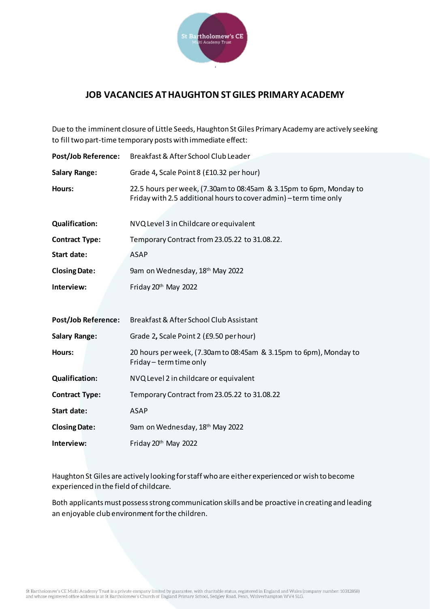

## **JOB VACANCIES AT HAUGHTON ST GILES PRIMARY ACADEMY**

Due to the imminent closure of Little Seeds, Haughton St Giles Primary Academy are actively seeking to fill two part-time temporary posts with immediate effect:

| <b>Post/Job Reference:</b> | Breakfast & After School Club Leader                                                                                                    |
|----------------------------|-----------------------------------------------------------------------------------------------------------------------------------------|
| <b>Salary Range:</b>       | Grade 4, Scale Point 8 (£10.32 per hour)                                                                                                |
| Hours:                     | 22.5 hours per week, (7.30am to 08:45am & 3.15pm to 6pm, Monday to<br>Friday with 2.5 additional hours to cover admin) - term time only |
| <b>Qualification:</b>      | NVQ Level 3 in Childcare or equivalent                                                                                                  |
| <b>Contract Type:</b>      | Temporary Contract from 23.05.22 to 31.08.22.                                                                                           |
| Start date:                | <b>ASAP</b>                                                                                                                             |
| <b>Closing Date:</b>       | 9am on Wednesday, 18 <sup>th</sup> May 2022                                                                                             |
| Interview:                 | Friday 20 <sup>th</sup> May 2022                                                                                                        |
|                            |                                                                                                                                         |
| <b>Post/Job Reference:</b> | Breakfast & After School Club Assistant                                                                                                 |
| <b>Salary Range:</b>       | Grade 2, Scale Point 2 (£9.50 per hour)                                                                                                 |
| Hours:                     | 20 hours per week, (7.30am to 08:45am & 3.15pm to 6pm), Monday to<br>Friday - term time only                                            |
| <b>Qualification:</b>      | NVQ Level 2 in childcare or equivalent                                                                                                  |
| <b>Contract Type:</b>      | Temporary Contract from 23.05.22 to 31.08.22                                                                                            |
| Start date:                | <b>ASAP</b>                                                                                                                             |
| <b>Closing Date:</b>       | 9am on Wednesday, 18 <sup>th</sup> May 2022                                                                                             |
| Interview:                 | Friday 20 <sup>th</sup> May 2022                                                                                                        |

Haughton St Giles are actively looking for staff who are either experienced or wish to become experienced in the field of childcare.

Both applicants must possess strong communication skills and be proactive in creating and leading an enjoyable club environment for the children.